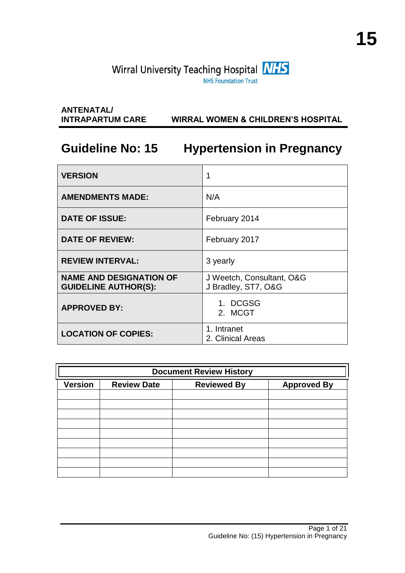# **ANTENATAL/ INTRAPARTUM CARE WIRRAL WOMEN & CHILDREN'S HOSPITAL**

# **Guideline No: 15 Hypertension in Pregnancy**

| <b>VERSION</b>                                                |                                                  |
|---------------------------------------------------------------|--------------------------------------------------|
| <b>AMENDMENTS MADE:</b>                                       | N/A                                              |
| <b>DATE OF ISSUE:</b>                                         | February 2014                                    |
| <b>DATE OF REVIEW:</b>                                        | February 2017                                    |
| <b>REVIEW INTERVAL:</b>                                       | 3 yearly                                         |
| <b>NAME AND DESIGNATION OF</b><br><b>GUIDELINE AUTHOR(S):</b> | J Weetch, Consultant, O&G<br>J Bradley, ST7, O&G |
| <b>APPROVED BY:</b>                                           | 1. DCGSG<br>2. MCGT                              |
| <b>LOCATION OF COPIES:</b>                                    | 1. Intranet<br>2. Clinical Areas                 |

| <b>Document Review History</b> |                    |                    |                    |
|--------------------------------|--------------------|--------------------|--------------------|
| <b>Version</b>                 | <b>Review Date</b> | <b>Reviewed By</b> | <b>Approved By</b> |
|                                |                    |                    |                    |
|                                |                    |                    |                    |
|                                |                    |                    |                    |
|                                |                    |                    |                    |
|                                |                    |                    |                    |
|                                |                    |                    |                    |
|                                |                    |                    |                    |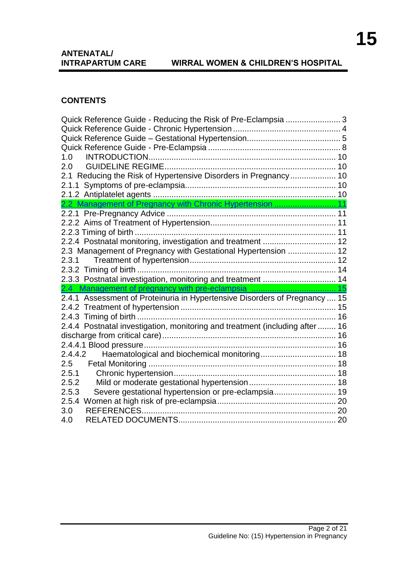# **ANTENATAL/<br>INTRAPARTUM CARE**

# **INTRAL WOMEN & CHILDREN'S HOSPITAL**

#### **CONTENTS**

| Quick Reference Guide - Reducing the Risk of Pre-Eclampsia  3                |  |
|------------------------------------------------------------------------------|--|
|                                                                              |  |
|                                                                              |  |
|                                                                              |  |
| 1.0                                                                          |  |
| 2.0                                                                          |  |
| 2.1 Reducing the Risk of Hypertensive Disorders in Pregnancy 10              |  |
|                                                                              |  |
|                                                                              |  |
| 2.2 Management of Pregnancy with Chronic Hypertension  11                    |  |
|                                                                              |  |
|                                                                              |  |
|                                                                              |  |
| 2.2.4 Postnatal monitoring, investigation and treatment  12                  |  |
| 2.3 Management of Pregnancy with Gestational Hypertension  12                |  |
| 2.3.1                                                                        |  |
|                                                                              |  |
| 2.3.3 Postnatal investigation, monitoring and treatment  14                  |  |
|                                                                              |  |
| 2.4.1 Assessment of Proteinuria in Hypertensive Disorders of Pregnancy  15   |  |
|                                                                              |  |
|                                                                              |  |
| 2.4.4 Postnatal investigation, monitoring and treatment (including after  16 |  |
|                                                                              |  |
|                                                                              |  |
| 2.4.4.2                                                                      |  |
| 2.5                                                                          |  |
| 2.5.1                                                                        |  |
| 2.5.2                                                                        |  |
| Severe gestational hypertension or pre-eclampsia 19<br>2.5.3                 |  |
| 2.5.4                                                                        |  |
|                                                                              |  |
| 3.0                                                                          |  |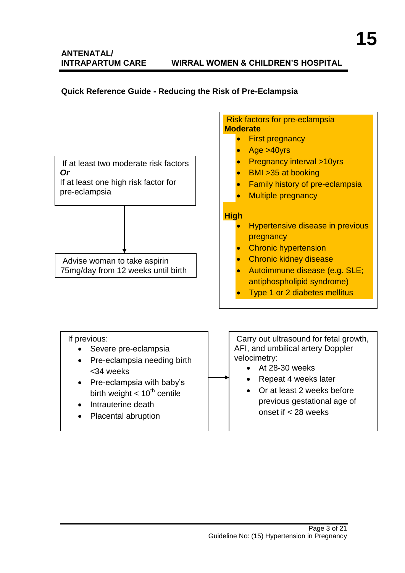# **ANTENATAL/**

#### **INTRAPARTUM CARE WIRRAL WOMEN & CHILDREN'S HOSPITAL**

# <span id="page-2-0"></span>**Quick Reference Guide - Reducing the Risk of Pre-Eclampsia**

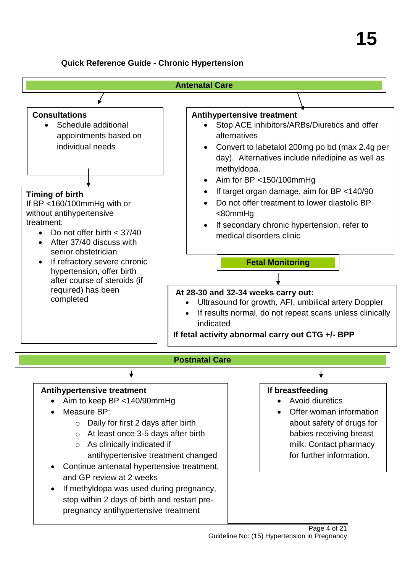#### <span id="page-3-0"></span>**Quick Reference Guide - Chronic Hypertension**

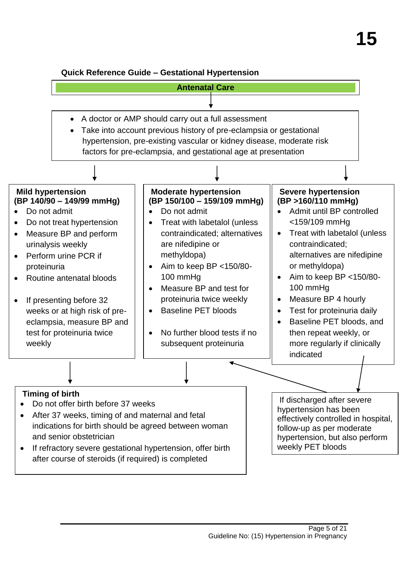#### <span id="page-4-0"></span>**Quick Reference Guide – Gestational Hypertension**

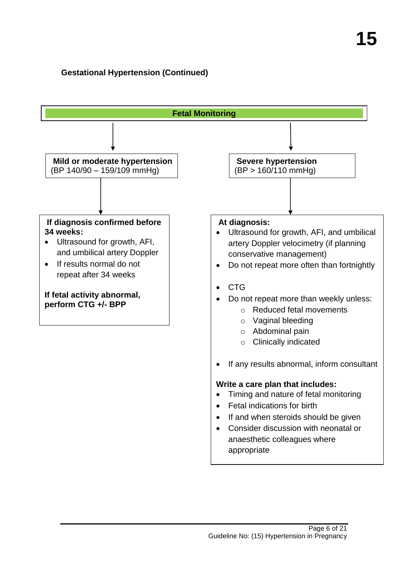# **Gestational Hypertension (Continued)**

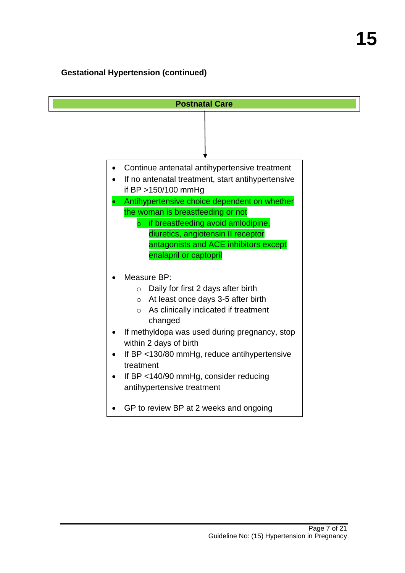# **Gestational Hypertension (continued)**

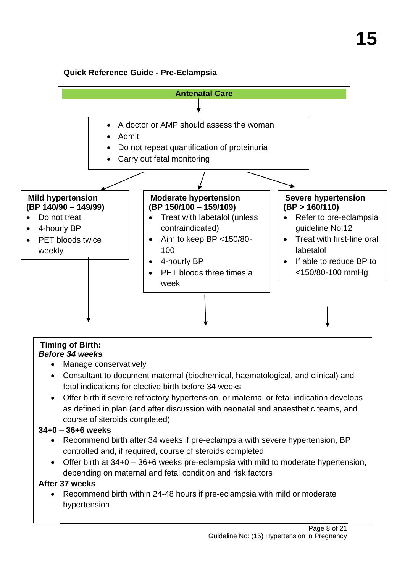# <span id="page-7-0"></span>**Quick Reference Guide - Pre-Eclampsia**



#### **Timing of Birth:** *Before 34 weeks*

- Manage conservatively
- Consultant to document maternal (biochemical, haematological, and clinical) and fetal indications for elective birth before 34 weeks
- Offer birth if severe refractory hypertension, or maternal or fetal indication develops as defined in plan (and after discussion with neonatal and anaesthetic teams, and course of steroids completed)

# **34+0 – 36+6 weeks**

- Recommend birth after 34 weeks if pre-eclampsia with severe hypertension, BP controlled and, if required, course of steroids completed
- Offer birth at 34+0 36+6 weeks pre-eclampsia with mild to moderate hypertension, depending on maternal and fetal condition and risk factors

# **After 37 weeks**

• Recommend birth within 24-48 hours if pre-eclampsia with mild or moderate hypertension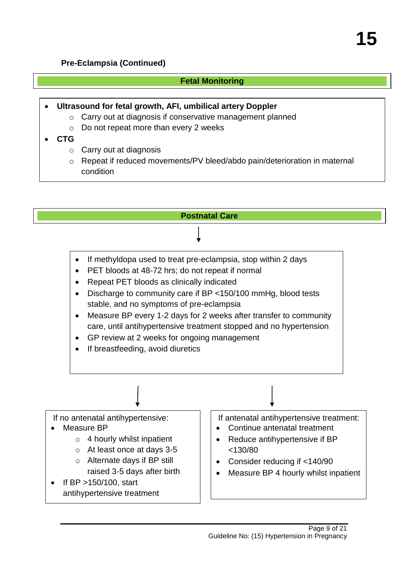#### **Pre-Eclampsia (Continued)**

#### **Fetal Monitoring**

**Ultrasound for fetal growth, AFI, umbilical artery Doppler** 

- o Carry out at diagnosis if conservative management planned
- o Do not repeat more than every 2 weeks
- **CTG**
	- $\circ$  Carry out at diagnosis
	- o Repeat if reduced movements/PV bleed/abdo pain/deterioration in maternal condition

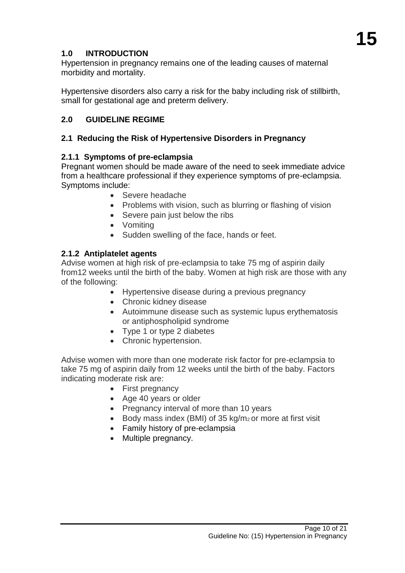# <span id="page-9-0"></span>**1.0 INTRODUCTION**

Hypertension in pregnancy remains one of the leading causes of maternal morbidity and mortality.

Hypertensive disorders also carry a risk for the baby including risk of stillbirth, small for gestational age and preterm delivery.

# <span id="page-9-1"></span>**2.0 GUIDELINE REGIME**

# <span id="page-9-2"></span>**2.1 Reducing the Risk of Hypertensive Disorders in Pregnancy**

#### <span id="page-9-3"></span>**2.1.1 Symptoms of pre-eclampsia**

Pregnant women should be made aware of the need to seek immediate advice from a healthcare professional if they experience symptoms of pre-eclampsia. Symptoms include:

- Severe headache
- Problems with vision, such as blurring or flashing of vision
- Severe pain just below the ribs
- Vomiting
- Sudden swelling of the face, hands or feet.

# <span id="page-9-4"></span>**2.1.2 Antiplatelet agents**

Advise women at high risk of pre-eclampsia to take 75 mg of aspirin daily from12 weeks until the birth of the baby. Women at high risk are those with any of the following:

- Hypertensive disease during a previous pregnancy
- Chronic kidney disease
- Autoimmune disease such as systemic lupus erythematosis or antiphospholipid syndrome
- Type 1 or type 2 diabetes
- Chronic hypertension.

Advise women with more than one moderate risk factor for pre-eclampsia to take 75 mg of aspirin daily from 12 weeks until the birth of the baby. Factors indicating moderate risk are:

- First pregnancy
- Age 40 years or older
- Pregnancy interval of more than 10 years
- Body mass index (BMI) of 35 kg/m<sub>2</sub> or more at first visit
- Family history of pre-eclampsia
- Multiple pregnancy.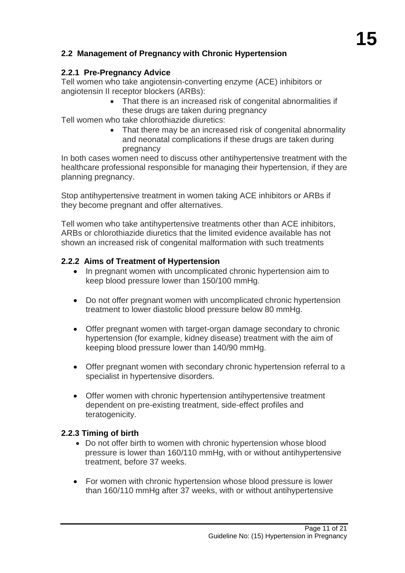# **2.2 Management of Pregnancy with Chronic Hypertension**

# <span id="page-10-0"></span>**2.2.1 Pre-Pregnancy Advice**

Tell women who take angiotensin-converting enzyme (ACE) inhibitors or angiotensin II receptor blockers (ARBs):

 That there is an increased risk of congenital abnormalities if these drugs are taken during pregnancy

Tell women who take chlorothiazide diuretics:

• That there may be an increased risk of congenital abnormality and neonatal complications if these drugs are taken during pregnancy

In both cases women need to discuss other antihypertensive treatment with the healthcare professional responsible for managing their hypertension, if they are planning pregnancy.

Stop antihypertensive treatment in women taking ACE inhibitors or ARBs if they become pregnant and offer alternatives.

Tell women who take antihypertensive treatments other than ACE inhibitors, ARBs or chlorothiazide diuretics that the limited evidence available has not shown an increased risk of congenital malformation with such treatments

#### <span id="page-10-1"></span>**2.2.2 Aims of Treatment of Hypertension**

- In pregnant women with uncomplicated chronic hypertension aim to keep blood pressure lower than 150/100 mmHg.
- Do not offer pregnant women with uncomplicated chronic hypertension treatment to lower diastolic blood pressure below 80 mmHg.
- Offer pregnant women with target-organ damage secondary to chronic hypertension (for example, kidney disease) treatment with the aim of keeping blood pressure lower than 140/90 mmHg.
- Offer pregnant women with secondary chronic hypertension referral to a specialist in hypertensive disorders.
- Offer women with chronic hypertension antihypertensive treatment dependent on pre-existing treatment, side-effect profiles and teratogenicity.

#### <span id="page-10-2"></span>**2.2.3 Timing of birth**

- Do not offer birth to women with chronic hypertension whose blood pressure is lower than 160/110 mmHg, with or without antihypertensive treatment, before 37 weeks.
- For women with chronic hypertension whose blood pressure is lower than 160/110 mmHg after 37 weeks, with or without antihypertensive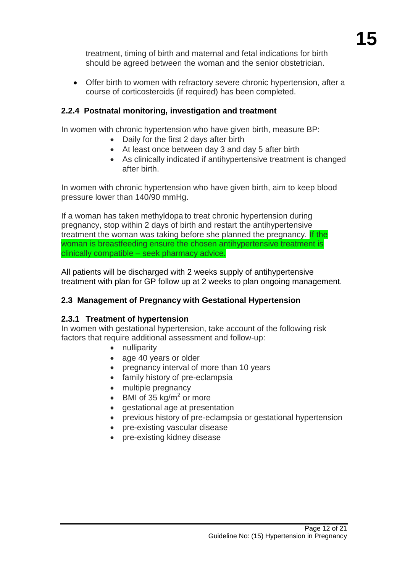treatment, timing of birth and maternal and fetal indications for birth should be agreed between the woman and the senior obstetrician.

 Offer birth to women with refractory severe chronic hypertension, after a course of corticosteroids (if required) has been completed.

# <span id="page-11-0"></span>**2.2.4 Postnatal monitoring, investigation and treatment**

In women with chronic hypertension who have given birth, measure BP:

- Daily for the first 2 days after birth
- At least once between day 3 and day 5 after birth
- As clinically indicated if antihypertensive treatment is changed after birth.

In women with chronic hypertension who have given birth, aim to keep blood pressure lower than 140/90 mmHg.

If a woman has taken methyldopa to treat chronic hypertension during pregnancy, stop within 2 days of birth and restart the antihypertensive treatment the woman was taking before she planned the pregnancy. If the woman is breastfeeding ensure the chosen antihypertensive treatment is clinically compatible – seek pharmacy advice.

All patients will be discharged with 2 weeks supply of antihypertensive treatment with plan for GP follow up at 2 weeks to plan ongoing management.

# <span id="page-11-1"></span>**2.3 Management of Pregnancy with Gestational Hypertension**

#### <span id="page-11-2"></span>**2.3.1 Treatment of hypertension**

In women with gestational hypertension, take account of the following risk factors that require additional assessment and follow-up:

- nulliparity
- age 40 years or older
- pregnancy interval of more than 10 years
- family history of pre-eclampsia
- multiple pregnancy
- BMI of 35 kg/m<sup>2</sup> or more
- gestational age at presentation
- previous history of pre-eclampsia or gestational hypertension
- pre-existing vascular disease
- pre-existing kidney disease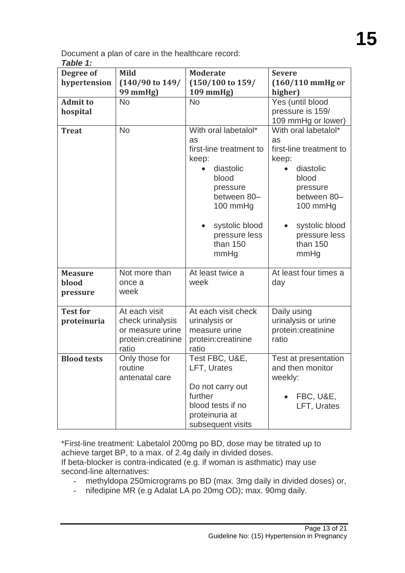Document a plan of care in the healthcare record: *Table 1:*

| Degree of          | <b>Mild</b>                | <b>Moderate</b>             | <b>Severe</b>           |
|--------------------|----------------------------|-----------------------------|-------------------------|
| hypertension       | $(140/90 \text{ to } 149)$ | $(150/100 \text{ to } 159)$ | $(160/110$ mmHg or      |
|                    | 99 mmHg)                   | 109 mmHg)                   | higher)                 |
| <b>Admit to</b>    | <b>No</b>                  | <b>No</b>                   | Yes (until blood        |
| hospital           |                            |                             | pressure is 159/        |
|                    |                            |                             | 109 mmHg or lower)      |
| <b>Treat</b>       | <b>No</b>                  | With oral labetalol*        | With oral labetalol*    |
|                    |                            | as                          | as                      |
|                    |                            | first-line treatment to     | first-line treatment to |
|                    |                            | keep:                       | keep:                   |
|                    |                            | diastolic                   | diastolic               |
|                    |                            | blood                       | blood                   |
|                    |                            | pressure                    | pressure                |
|                    |                            | between 80-                 | between 80-             |
|                    |                            | 100 mmHg                    | 100 mmHg                |
|                    |                            |                             |                         |
|                    |                            | systolic blood              | systolic blood          |
|                    |                            | pressure less               | pressure less           |
|                    |                            | than 150                    | than 150                |
|                    |                            | mmHg                        | mmHg                    |
| <b>Measure</b>     | Not more than              | At least twice a            | At least four times a   |
| blood              | once a                     | week                        | day                     |
| pressure           | week                       |                             |                         |
|                    |                            |                             |                         |
| <b>Test for</b>    | At each visit              | At each visit check         | Daily using             |
| proteinuria        | check urinalysis           | urinalysis or               | urinalysis or urine     |
|                    | or measure urine           | measure urine               | protein:creatinine      |
|                    | protein:creatinine         | protein:creatinine          | ratio                   |
|                    | ratio                      | ratio                       |                         |
| <b>Blood tests</b> | Only those for             | Test FBC, U&E,              | Test at presentation    |
|                    | routine                    | LFT, Urates                 | and then monitor        |
|                    | antenatal care             |                             | weekly:                 |
|                    |                            | Do not carry out            |                         |
|                    |                            | further                     | FBC, U&E,               |
|                    |                            | blood tests if no           | LFT, Urates             |
|                    |                            | proteinuria at              |                         |
|                    |                            | subsequent visits           |                         |

\*First-line treatment: Labetalol 200mg po BD, dose may be titrated up to achieve target BP, to a max. of 2.4g daily in divided doses. If beta-blocker is contra-indicated (e.g. if woman is asthmatic) may use second-line alternatives:

- methyldopa 250micrograms po BD (max. 3mg daily in divided doses) or,
- nifedipine MR (e.g Adalat LA po 20mg OD); max. 90mg daily.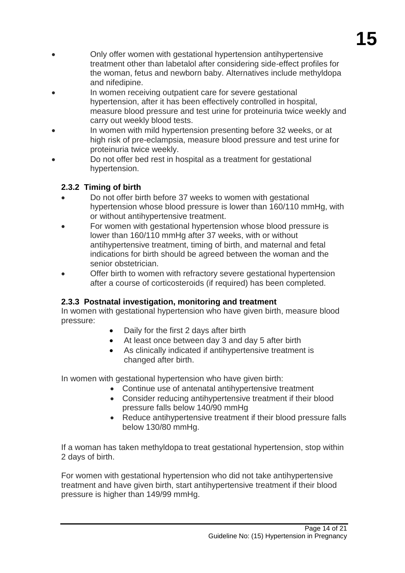- Only offer women with gestational hypertension antihypertensive treatment other than labetalol after considering side-effect profiles for the woman, fetus and newborn baby. Alternatives include methyldopa and nifedipine.
- In women receiving outpatient care for severe gestational hypertension, after it has been effectively controlled in hospital, measure blood pressure and test urine for proteinuria twice weekly and carry out weekly blood tests.
- In women with mild hypertension presenting before 32 weeks, or at high risk of pre-eclampsia, measure blood pressure and test urine for proteinuria twice weekly.
- Do not offer bed rest in hospital as a treatment for gestational hypertension.

# <span id="page-13-0"></span>**2.3.2 Timing of birth**

- Do not offer birth before 37 weeks to women with gestational hypertension whose blood pressure is lower than 160/110 mmHg, with or without antihypertensive treatment.
- For women with gestational hypertension whose blood pressure is lower than 160/110 mmHg after 37 weeks, with or without antihypertensive treatment, timing of birth, and maternal and fetal indications for birth should be agreed between the woman and the senior obstetrician.
- Offer birth to women with refractory severe gestational hypertension after a course of corticosteroids (if required) has been completed.

# <span id="page-13-1"></span>**2.3.3 Postnatal investigation, monitoring and treatment**

In women with gestational hypertension who have given birth, measure blood pressure:

- Daily for the first 2 days after birth
- At least once between day 3 and day 5 after birth
- As clinically indicated if antihypertensive treatment is changed after birth.

In women with gestational hypertension who have given birth:

- Continue use of antenatal antihypertensive treatment
	- Consider reducing antihypertensive treatment if their blood pressure falls below 140/90 mmHg
	- Reduce antihypertensive treatment if their blood pressure falls below 130/80 mmHg.

If a woman has taken methyldopa to treat gestational hypertension, stop within 2 days of birth.

For women with gestational hypertension who did not take antihypertensive treatment and have given birth, start antihypertensive treatment if their blood pressure is higher than 149/99 mmHg.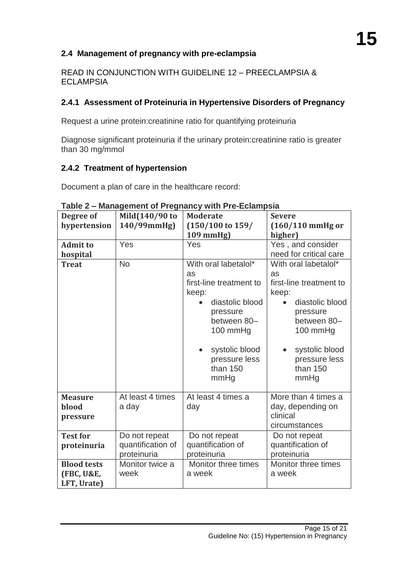#### **2.4 Management of pregnancy with pre-eclampsia**

READ IN CONJUNCTION WITH GUIDELINE 12 – PREECLAMPSIA & **ECLAMPSIA** 

#### <span id="page-14-0"></span>**2.4.1 Assessment of Proteinuria in Hypertensive Disorders of Pregnancy**

Request a urine protein:creatinine ratio for quantifying proteinuria

Diagnose significant proteinuria if the urinary protein:creatinine ratio is greater than 30 mg/mmol

#### <span id="page-14-1"></span>**2.4.2 Treatment of hypertension**

Document a plan of care in the healthcare record:

| Degree of             | Mild(140/90 to    | <b>Moderate</b>                  | <b>Severe</b>                    |  |
|-----------------------|-------------------|----------------------------------|----------------------------------|--|
| hypertension          | 140/99mmHg)       | $(150/100 \text{ to } 159)$      | $(160/110$ mmHg or               |  |
|                       |                   | 109 mmHg)                        | higher)                          |  |
| <b>Admit to</b>       | Yes               | Yes                              | Yes, and consider                |  |
| hospital              |                   |                                  | need for critical care           |  |
| <b>Treat</b>          | <b>No</b>         | With oral labetalol*             | With oral labetalol*             |  |
|                       |                   | as                               | as                               |  |
|                       |                   | first-line treatment to<br>keep: | first-line treatment to<br>keep: |  |
|                       |                   | diastolic blood                  | diastolic blood                  |  |
|                       |                   |                                  |                                  |  |
|                       |                   | pressure<br>between 80-          | pressure<br>between 80-          |  |
|                       |                   | 100 mmHg                         | 100 mm $Hg$                      |  |
|                       |                   |                                  |                                  |  |
|                       |                   | systolic blood                   | systolic blood                   |  |
|                       |                   | pressure less                    | pressure less                    |  |
|                       |                   | than 150                         | than $150$                       |  |
|                       |                   | mmHg                             | mmHg                             |  |
|                       |                   |                                  |                                  |  |
| <b>Measure</b>        | At least 4 times  | At least 4 times a               | More than 4 times a              |  |
| blood                 | a day             | day                              | day, depending on                |  |
| pressure              |                   |                                  | clinical                         |  |
|                       |                   |                                  | circumstances                    |  |
| <b>Test for</b>       | Do not repeat     | Do not repeat                    | Do not repeat                    |  |
| proteinuria           | quantification of | quantification of                | quantification of                |  |
|                       | proteinuria       | proteinuria                      | proteinuria                      |  |
| <b>Blood tests</b>    | Monitor twice a   | Monitor three times              | Monitor three times              |  |
| <b>(FBC, U&amp;E,</b> | week              | a week                           | a week                           |  |
| LFT, Urate)           |                   |                                  |                                  |  |

**Table 2 – Management of Pregnancy with Pre-Eclampsia**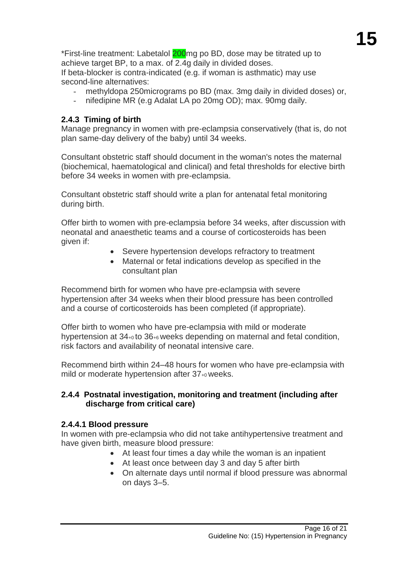\*First-line treatment: Labetalol 200<sub>mg</sub> po BD, dose may be titrated up to achieve target BP, to a max. of 2.4g daily in divided doses. If beta-blocker is contra-indicated (e.g. if woman is asthmatic) may use

second-line alternatives:

- methyldopa 250 micrograms po BD (max. 3mg daily in divided doses) or,
- nifedipine MR (e.g Adalat LA po 20mg OD); max. 90mg daily.

# <span id="page-15-0"></span>**2.4.3 Timing of birth**

Manage pregnancy in women with pre-eclampsia conservatively (that is, do not plan same-day delivery of the baby) until 34 weeks.

Consultant obstetric staff should document in the woman's notes the maternal (biochemical, haematological and clinical) and fetal thresholds for elective birth before 34 weeks in women with pre-eclampsia.

Consultant obstetric staff should write a plan for antenatal fetal monitoring during birth.

Offer birth to women with pre-eclampsia before 34 weeks, after discussion with neonatal and anaesthetic teams and a course of corticosteroids has been given if:

- Severe hypertension develops refractory to treatment
- Maternal or fetal indications develop as specified in the consultant plan

Recommend birth for women who have pre-eclampsia with severe hypertension after 34 weeks when their blood pressure has been controlled and a course of corticosteroids has been completed (if appropriate).

Offer birth to women who have pre-eclampsia with mild or moderate hypertension at 34+0 to 36+6 weeks depending on maternal and fetal condition, risk factors and availability of neonatal intensive care.

Recommend birth within 24–48 hours for women who have pre-eclampsia with mild or moderate hypertension after 37+0 weeks.

#### <span id="page-15-2"></span><span id="page-15-1"></span>**2.4.4 Postnatal investigation, monitoring and treatment (including after discharge from critical care)**

#### <span id="page-15-3"></span>**2.4.4.1 Blood pressure**

In women with pre-eclampsia who did not take antihypertensive treatment and have given birth, measure blood pressure:

- At least four times a day while the woman is an inpatient
- At least once between day 3 and day 5 after birth
- On alternate days until normal if blood pressure was abnormal on days 3–5.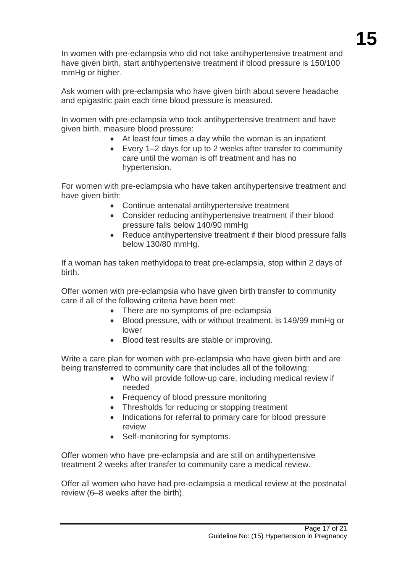In women with pre-eclampsia who did not take antihypertensive treatment and have given birth, start antihypertensive treatment if blood pressure is 150/100 mmHg or higher.

Ask women with pre-eclampsia who have given birth about severe headache and epigastric pain each time blood pressure is measured.

In women with pre-eclampsia who took antihypertensive treatment and have given birth, measure blood pressure:

- At least four times a day while the woman is an inpatient
- Every 1–2 days for up to 2 weeks after transfer to community care until the woman is off treatment and has no hypertension.

For women with pre-eclampsia who have taken antihypertensive treatment and have given birth:

- Continue antenatal antihypertensive treatment
- Consider reducing antihypertensive treatment if their blood pressure falls below 140/90 mmHg
- Reduce antihypertensive treatment if their blood pressure falls below 130/80 mmHg.

If a woman has taken methyldopa to treat pre-eclampsia, stop within 2 days of birth.

Offer women with pre-eclampsia who have given birth transfer to community care if all of the following criteria have been met:

- There are no symptoms of pre-eclampsia
- Blood pressure, with or without treatment, is 149/99 mmHg or lower
- Blood test results are stable or improving.

Write a care plan for women with pre-eclampsia who have given birth and are being transferred to community care that includes all of the following:

- Who will provide follow-up care, including medical review if needed
- Frequency of blood pressure monitoring
- Thresholds for reducing or stopping treatment
- Indications for referral to primary care for blood pressure review
- Self-monitoring for symptoms.

Offer women who have pre-eclampsia and are still on antihypertensive treatment 2 weeks after transfer to community care a medical review.

Offer all women who have had pre-eclampsia a medical review at the postnatal review (6–8 weeks after the birth).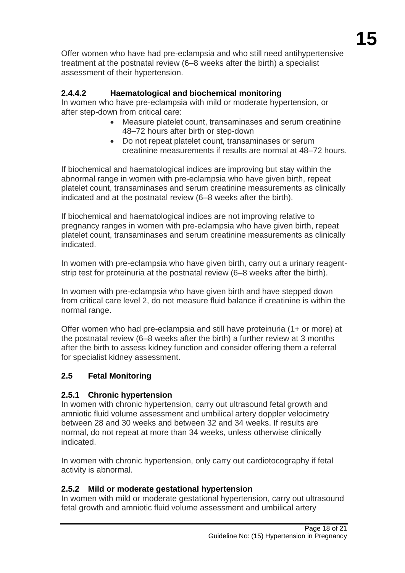Offer women who have had pre-eclampsia and who still need antihypertensive treatment at the postnatal review (6–8 weeks after the birth) a specialist assessment of their hypertension.

# <span id="page-17-0"></span>**2.4.4.2 Haematological and biochemical monitoring**

In women who have pre-eclampsia with mild or moderate hypertension, or after step-down from critical care:

- Measure platelet count, transaminases and serum creatinine 48–72 hours after birth or step-down
- Do not repeat platelet count, transaminases or serum creatinine measurements if results are normal at 48–72 hours.

If biochemical and haematological indices are improving but stay within the abnormal range in women with pre-eclampsia who have given birth, repeat platelet count, transaminases and serum creatinine measurements as clinically indicated and at the postnatal review (6–8 weeks after the birth).

If biochemical and haematological indices are not improving relative to pregnancy ranges in women with pre-eclampsia who have given birth, repeat platelet count, transaminases and serum creatinine measurements as clinically indicated.

In women with pre-eclampsia who have given birth, carry out a urinary reagentstrip test for proteinuria at the postnatal review (6–8 weeks after the birth).

In women with pre-eclampsia who have given birth and have stepped down from critical care level 2, do not measure fluid balance if creatinine is within the normal range.

Offer women who had pre-eclampsia and still have proteinuria (1+ or more) at the postnatal review (6–8 weeks after the birth) a further review at 3 months after the birth to assess kidney function and consider offering them a referral for specialist kidney assessment.

# <span id="page-17-1"></span>**2.5 Fetal Monitoring**

# <span id="page-17-2"></span>**2.5.1 Chronic hypertension**

In women with chronic hypertension, carry out ultrasound fetal growth and amniotic fluid volume assessment and umbilical artery doppler velocimetry between 28 and 30 weeks and between 32 and 34 weeks. If results are normal, do not repeat at more than 34 weeks, unless otherwise clinically indicated.

In women with chronic hypertension, only carry out cardiotocography if fetal activity is abnormal.

#### <span id="page-17-3"></span>**2.5.2 Mild or moderate gestational hypertension**

In women with mild or moderate gestational hypertension, carry out ultrasound fetal growth and amniotic fluid volume assessment and umbilical artery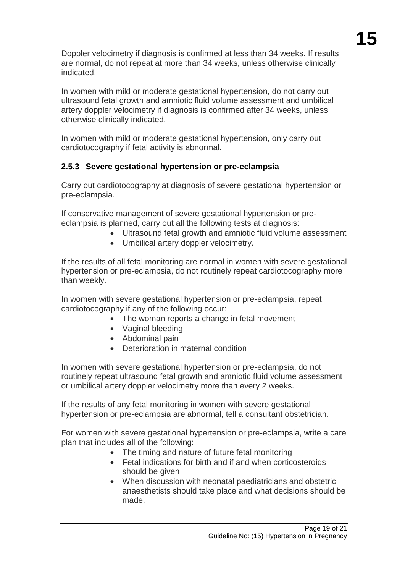Doppler velocimetry if diagnosis is confirmed at less than 34 weeks. If results are normal, do not repeat at more than 34 weeks, unless otherwise clinically indicated.

In women with mild or moderate gestational hypertension, do not carry out ultrasound fetal growth and amniotic fluid volume assessment and umbilical artery doppler velocimetry if diagnosis is confirmed after 34 weeks, unless otherwise clinically indicated.

In women with mild or moderate gestational hypertension, only carry out cardiotocography if fetal activity is abnormal.

# <span id="page-18-0"></span>**2.5.3 Severe gestational hypertension or pre-eclampsia**

Carry out cardiotocography at diagnosis of severe gestational hypertension or pre-eclampsia.

If conservative management of severe gestational hypertension or preeclampsia is planned, carry out all the following tests at diagnosis:

- Ultrasound fetal growth and amniotic fluid volume assessment
- Umbilical artery doppler velocimetry.

If the results of all fetal monitoring are normal in women with severe gestational hypertension or pre-eclampsia, do not routinely repeat cardiotocography more than weekly.

In women with severe gestational hypertension or pre-eclampsia, repeat cardiotocography if any of the following occur:

- The woman reports a change in fetal movement
- Vaginal bleeding
- Abdominal pain
- Deterioration in maternal condition

In women with severe gestational hypertension or pre-eclampsia, do not routinely repeat ultrasound fetal growth and amniotic fluid volume assessment or umbilical artery doppler velocimetry more than every 2 weeks.

If the results of any fetal monitoring in women with severe gestational hypertension or pre-eclampsia are abnormal, tell a consultant obstetrician.

For women with severe gestational hypertension or pre-eclampsia, write a care plan that includes all of the following:

- The timing and nature of future fetal monitoring
- Fetal indications for birth and if and when corticosteroids should be given
- When discussion with neonatal paediatricians and obstetric anaesthetists should take place and what decisions should be made.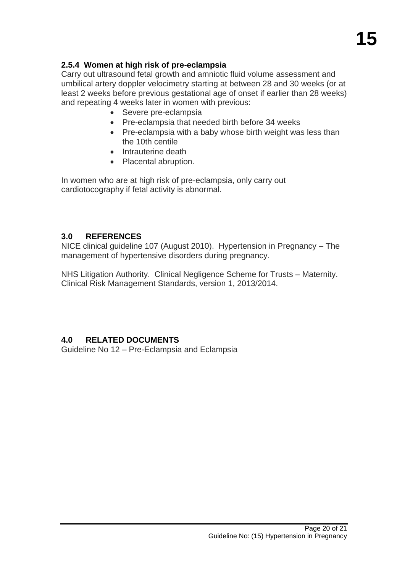# <span id="page-19-0"></span>**2.5.4 Women at high risk of pre-eclampsia**

Carry out ultrasound fetal growth and amniotic fluid volume assessment and umbilical artery doppler velocimetry starting at between 28 and 30 weeks (or at least 2 weeks before previous gestational age of onset if earlier than 28 weeks) and repeating 4 weeks later in women with previous:

- Severe pre-eclampsia
- Pre-eclampsia that needed birth before 34 weeks
- Pre-eclampsia with a baby whose birth weight was less than the 10th centile
- Intrauterine death
- Placental abruption.

In women who are at high risk of pre-eclampsia, only carry out cardiotocography if fetal activity is abnormal.

#### <span id="page-19-1"></span>**3.0 REFERENCES**

NICE clinical guideline 107 (August 2010). Hypertension in Pregnancy – The management of hypertensive disorders during pregnancy.

NHS Litigation Authority. Clinical Negligence Scheme for Trusts – Maternity. Clinical Risk Management Standards, version 1, 2013/2014.

# <span id="page-19-2"></span>**4.0 RELATED DOCUMENTS**

Guideline No 12 – Pre-Eclampsia and Eclampsia